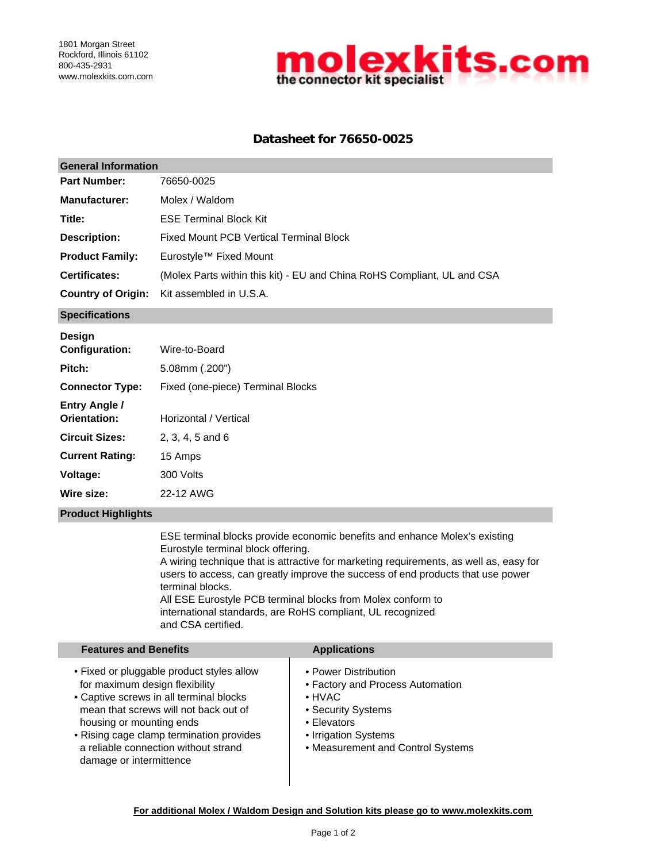

## **Datasheet for 76650-0025**

| <b>General Information</b> |                                                                         |  |  |  |
|----------------------------|-------------------------------------------------------------------------|--|--|--|
| <b>Part Number:</b>        | 76650-0025                                                              |  |  |  |
| <b>Manufacturer:</b>       | Molex / Waldom                                                          |  |  |  |
| Title:                     | <b>ESE Terminal Block Kit</b>                                           |  |  |  |
| Description:               | <b>Fixed Mount PCB Vertical Terminal Block</b>                          |  |  |  |
| <b>Product Family:</b>     | Eurostyle™ Fixed Mount                                                  |  |  |  |
| <b>Certificates:</b>       | (Molex Parts within this kit) - EU and China RoHS Compliant, UL and CSA |  |  |  |
| <b>Country of Origin:</b>  | Kit assembled in U.S.A.                                                 |  |  |  |

### **Specifications**

| <b>Design</b>                 |                                   |
|-------------------------------|-----------------------------------|
| <b>Configuration:</b>         | Wire-to-Board                     |
| Pitch:                        | $5.08$ mm $(.200")$               |
| <b>Connector Type:</b>        | Fixed (one-piece) Terminal Blocks |
| Entry Angle /<br>Orientation: | Horizontal / Vertical             |
| <b>Circuit Sizes:</b>         | $2.3.4.5$ and 6                   |
| <b>Current Rating:</b>        | 15 Amps                           |
| Voltage:                      | 300 Volts                         |
| Wire size:                    | 22-12 AWG                         |
|                               |                                   |

### **Product Highlights**

ESE terminal blocks provide economic benefits and enhance Molex's existing Eurostyle terminal block offering. A wiring technique that is attractive for marketing requirements, as well as, easy for users to access, can greatly improve the success of end products that use power terminal blocks. All ESE Eurostyle PCB terminal blocks from Molex conform to international standards, are RoHS compliant, UL recognized

and CSA certified.

## **Features and Benefits Applications**

| • Fixed or pluggable product styles allow | • Power Distribution              |
|-------------------------------------------|-----------------------------------|
| for maximum design flexibility            | • Factory and Process Automation  |
| • Captive screws in all terminal blocks   | $\bullet$ HVAC                    |
| mean that screws will not back out of     | • Security Systems                |
| housing or mounting ends                  | • Elevators                       |
| • Rising cage clamp termination provides  | • Irrigation Systems              |
| a reliable connection without strand      | • Measurement and Control Systems |
| damage or intermittence                   |                                   |